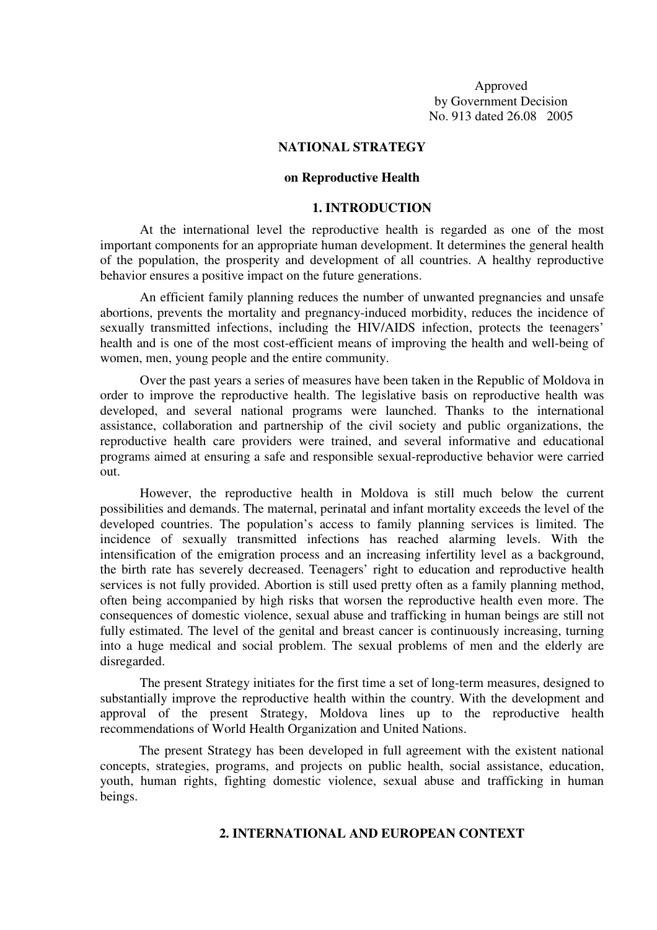Approved by Government Decision No. 913 dated 26.08 2005

### **NATIONAL STRATEGY**

### **on Reproductive Health**

#### **1. INTRODUCTION**

At the international level the reproductive health is regarded as one of the most important components for an appropriate human development. It determines the general health of the population, the prosperity and development of all countries. A healthy reproductive behavior ensures a positive impact on the future generations.

An efficient family planning reduces the number of unwanted pregnancies and unsafe abortions, prevents the mortality and pregnancy-induced morbidity, reduces the incidence of sexually transmitted infections, including the HIV/AIDS infection, protects the teenagers' health and is one of the most cost-efficient means of improving the health and well-being of women, men, young people and the entire community.

Over the past years a series of measures have been taken in the Republic of Moldova in order to improve the reproductive health. The legislative basis on reproductive health was developed, and several national programs were launched. Thanks to the international assistance, collaboration and partnership of the civil society and public organizations, the reproductive health care providers were trained, and several informative and educational programs aimed at ensuring a safe and responsible sexual-reproductive behavior were carried out.

However, the reproductive health in Moldova is still much below the current possibilities and demands. The maternal, perinatal and infant mortality exceeds the level of the developed countries. The population's access to family planning services is limited. The incidence of sexually transmitted infections has reached alarming levels. With the intensification of the emigration process and an increasing infertility level as a background, the birth rate has severely decreased. Teenagers' right to education and reproductive health services is not fully provided. Abortion is still used pretty often as a family planning method, often being accompanied by high risks that worsen the reproductive health even more. The consequences of domestic violence, sexual abuse and trafficking in human beings are still not fully estimated. The level of the genital and breast cancer is continuously increasing, turning into a huge medical and social problem. The sexual problems of men and the elderly are disregarded.

The present Strategy initiates for the first time a set of long-term measures, designed to substantially improve the reproductive health within the country. With the development and approval of the present Strategy, Moldova lines up to the reproductive health recommendations of World Health Organization and United Nations.

The present Strategy has been developed in full agreement with the existent national concepts, strategies, programs, and projects on public health, social assistance, education, youth, human rights, fighting domestic violence, sexual abuse and trafficking in human beings.

# **2. INTERNATIONAL AND EUROPEAN CONTEXT**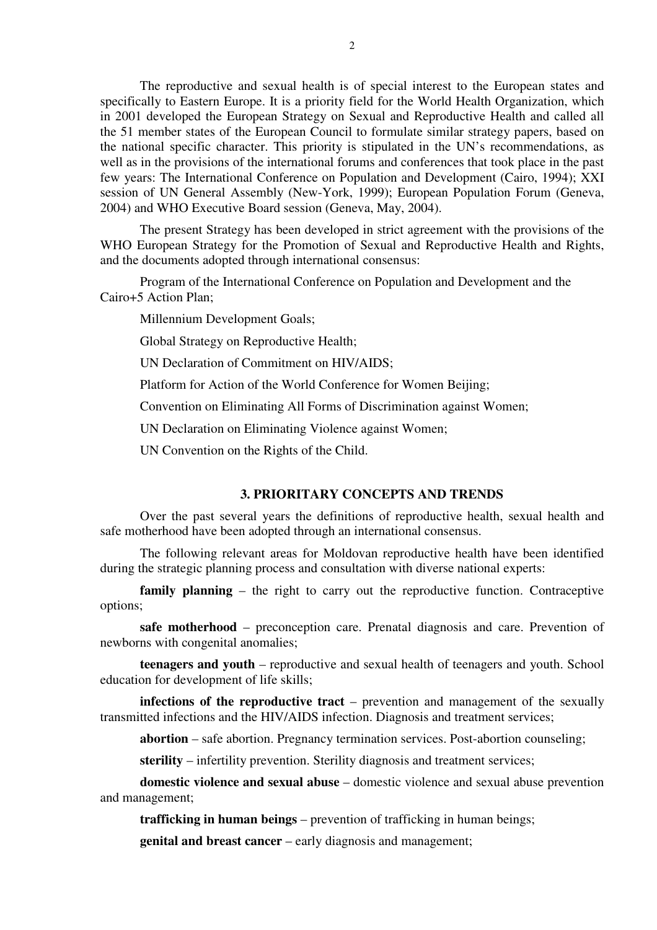The reproductive and sexual health is of special interest to the European states and specifically to Eastern Europe. It is a priority field for the World Health Organization, which in 2001 developed the European Strategy on Sexual and Reproductive Health and called all the 51 member states of the European Council to formulate similar strategy papers, based on the national specific character. This priority is stipulated in the UN's recommendations, as well as in the provisions of the international forums and conferences that took place in the past few years: The International Conference on Population and Development (Cairo, 1994); XXI session of UN General Assembly (New-York, 1999); European Population Forum (Geneva, 2004) and WHO Executive Board session (Geneva, May, 2004).

The present Strategy has been developed in strict agreement with the provisions of the WHO European Strategy for the Promotion of Sexual and Reproductive Health and Rights, and the documents adopted through international consensus:

Program of the International Conference on Population and Development and the Cairo+5 Action Plan;

Millennium Development Goals;

Global Strategy on Reproductive Health;

UN Declaration of Commitment on HIV/AIDS;

Platform for Action of the World Conference for Women Beijing;

Convention on Eliminating All Forms of Discrimination against Women;

UN Declaration on Eliminating Violence against Women;

UN Convention on the Rights of the Child.

## **3. PRIORITARY CONCEPTS AND TRENDS**

Over the past several years the definitions of reproductive health, sexual health and safe motherhood have been adopted through an international consensus.

The following relevant areas for Moldovan reproductive health have been identified during the strategic planning process and consultation with diverse national experts:

**family planning** – the right to carry out the reproductive function. Contraceptive options;

**safe motherhood** – preconception care. Prenatal diagnosis and care. Prevention of newborns with congenital anomalies;

**teenagers and youth** – reproductive and sexual health of teenagers and youth. School education for development of life skills;

**infections of the reproductive tract** – prevention and management of the sexually transmitted infections and the HIV/AIDS infection. Diagnosis and treatment services;

**abortion** – safe abortion. Pregnancy termination services. Post-abortion counseling;

**sterility** – infertility prevention. Sterility diagnosis and treatment services;

**domestic violence and sexual abuse** – domestic violence and sexual abuse prevention and management;

**trafficking in human beings** – prevention of trafficking in human beings;

**genital and breast cancer** – early diagnosis and management;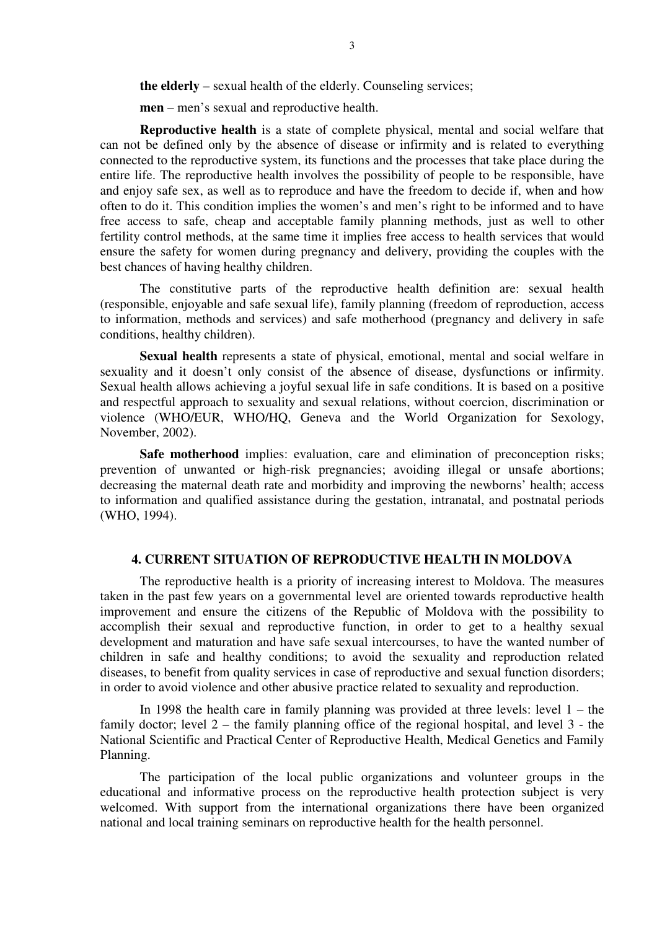**the elderly** – sexual health of the elderly. Counseling services;

**men** – men's sexual and reproductive health.

**Reproductive health** is a state of complete physical, mental and social welfare that can not be defined only by the absence of disease or infirmity and is related to everything connected to the reproductive system, its functions and the processes that take place during the entire life. The reproductive health involves the possibility of people to be responsible, have and enjoy safe sex, as well as to reproduce and have the freedom to decide if, when and how often to do it. This condition implies the women's and men's right to be informed and to have free access to safe, cheap and acceptable family planning methods, just as well to other fertility control methods, at the same time it implies free access to health services that would ensure the safety for women during pregnancy and delivery, providing the couples with the best chances of having healthy children.

The constitutive parts of the reproductive health definition are: sexual health (responsible, enjoyable and safe sexual life), family planning (freedom of reproduction, access to information, methods and services) and safe motherhood (pregnancy and delivery in safe conditions, healthy children).

**Sexual health** represents a state of physical, emotional, mental and social welfare in sexuality and it doesn't only consist of the absence of disease, dysfunctions or infirmity. Sexual health allows achieving a joyful sexual life in safe conditions. It is based on a positive and respectful approach to sexuality and sexual relations, without coercion, discrimination or violence (WHO/EUR, WHO/HQ, Geneva and the World Organization for Sexology, November, 2002).

**Safe motherhood** implies: evaluation, care and elimination of preconception risks; prevention of unwanted or high-risk pregnancies; avoiding illegal or unsafe abortions; decreasing the maternal death rate and morbidity and improving the newborns' health; access to information and qualified assistance during the gestation, intranatal, and postnatal periods (WHO, 1994).

# **4. CURRENT SITUATION OF REPRODUCTIVE HEALTH IN MOLDOVA**

The reproductive health is a priority of increasing interest to Moldova. The measures taken in the past few years on a governmental level are oriented towards reproductive health improvement and ensure the citizens of the Republic of Moldova with the possibility to accomplish their sexual and reproductive function, in order to get to a healthy sexual development and maturation and have safe sexual intercourses, to have the wanted number of children in safe and healthy conditions; to avoid the sexuality and reproduction related diseases, to benefit from quality services in case of reproductive and sexual function disorders; in order to avoid violence and other abusive practice related to sexuality and reproduction.

In 1998 the health care in family planning was provided at three levels: level  $1 -$  the family doctor; level 2 – the family planning office of the regional hospital, and level 3 - the National Scientific and Practical Center of Reproductive Health, Medical Genetics and Family Planning.

The participation of the local public organizations and volunteer groups in the educational and informative process on the reproductive health protection subject is very welcomed. With support from the international organizations there have been organized national and local training seminars on reproductive health for the health personnel.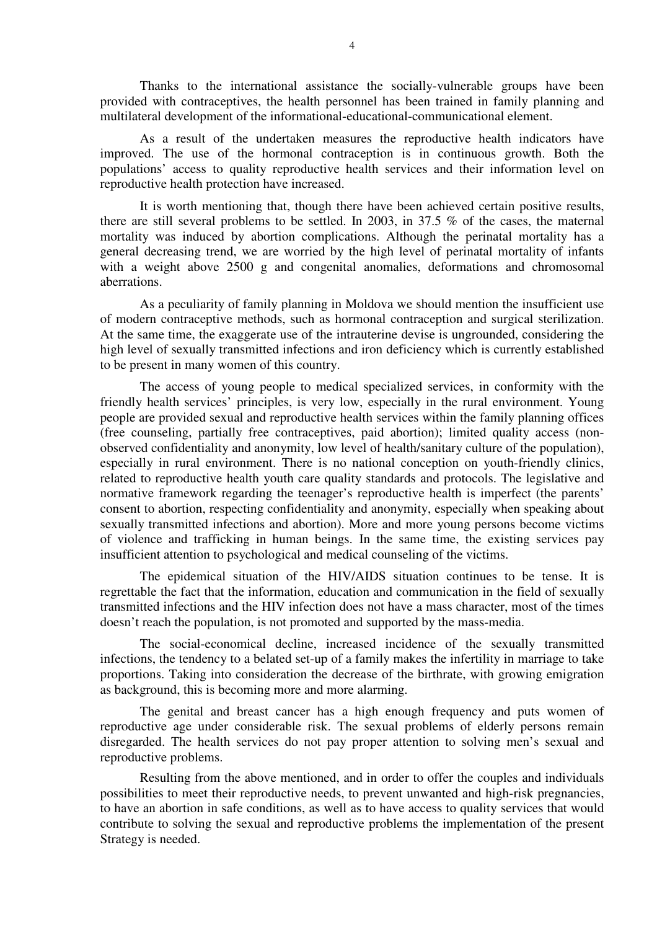Thanks to the international assistance the socially-vulnerable groups have been provided with contraceptives, the health personnel has been trained in family planning and multilateral development of the informational-educational-communicational element.

As a result of the undertaken measures the reproductive health indicators have improved. The use of the hormonal contraception is in continuous growth. Both the populations' access to quality reproductive health services and their information level on reproductive health protection have increased.

It is worth mentioning that, though there have been achieved certain positive results, there are still several problems to be settled. In 2003, in 37.5 % of the cases, the maternal mortality was induced by abortion complications. Although the perinatal mortality has a general decreasing trend, we are worried by the high level of perinatal mortality of infants with a weight above 2500 g and congenital anomalies, deformations and chromosomal aberrations.

As a peculiarity of family planning in Moldova we should mention the insufficient use of modern contraceptive methods, such as hormonal contraception and surgical sterilization. At the same time, the exaggerate use of the intrauterine devise is ungrounded, considering the high level of sexually transmitted infections and iron deficiency which is currently established to be present in many women of this country.

The access of young people to medical specialized services, in conformity with the friendly health services' principles, is very low, especially in the rural environment. Young people are provided sexual and reproductive health services within the family planning offices (free counseling, partially free contraceptives, paid abortion); limited quality access (nonobserved confidentiality and anonymity, low level of health/sanitary culture of the population), especially in rural environment. There is no national conception on youth-friendly clinics, related to reproductive health youth care quality standards and protocols. The legislative and normative framework regarding the teenager's reproductive health is imperfect (the parents' consent to abortion, respecting confidentiality and anonymity, especially when speaking about sexually transmitted infections and abortion). More and more young persons become victims of violence and trafficking in human beings. In the same time, the existing services pay insufficient attention to psychological and medical counseling of the victims.

The epidemical situation of the HIV/AIDS situation continues to be tense. It is regrettable the fact that the information, education and communication in the field of sexually transmitted infections and the HIV infection does not have a mass character, most of the times doesn't reach the population, is not promoted and supported by the mass-media.

The social-economical decline, increased incidence of the sexually transmitted infections, the tendency to a belated set-up of a family makes the infertility in marriage to take proportions. Taking into consideration the decrease of the birthrate, with growing emigration as background, this is becoming more and more alarming.

The genital and breast cancer has a high enough frequency and puts women of reproductive age under considerable risk. The sexual problems of elderly persons remain disregarded. The health services do not pay proper attention to solving men's sexual and reproductive problems.

Resulting from the above mentioned, and in order to offer the couples and individuals possibilities to meet their reproductive needs, to prevent unwanted and high-risk pregnancies, to have an abortion in safe conditions, as well as to have access to quality services that would contribute to solving the sexual and reproductive problems the implementation of the present Strategy is needed.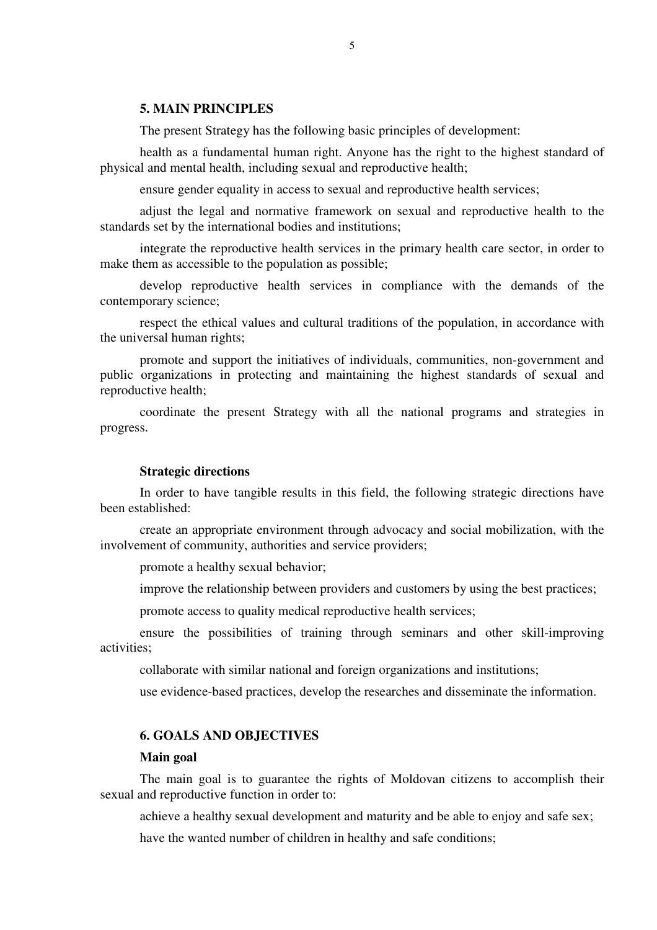#### **5. MAIN PRINCIPLES**

The present Strategy has the following basic principles of development:

health as a fundamental human right. Anyone has the right to the highest standard of physical and mental health, including sexual and reproductive health;

ensure gender equality in access to sexual and reproductive health services;

adjust the legal and normative framework on sexual and reproductive health to the standards set by the international bodies and institutions;

integrate the reproductive health services in the primary health care sector, in order to make them as accessible to the population as possible;

develop reproductive health services in compliance with the demands of the contemporary science;

respect the ethical values and cultural traditions of the population, in accordance with the universal human rights;

promote and support the initiatives of individuals, communities, non-government and public organizations in protecting and maintaining the highest standards of sexual and reproductive health;

coordinate the present Strategy with all the national programs and strategies in progress.

#### **Strategic directions**

In order to have tangible results in this field, the following strategic directions have been established:

create an appropriate environment through advocacy and social mobilization, with the involvement of community, authorities and service providers;

promote a healthy sexual behavior;

improve the relationship between providers and customers by using the best practices;

promote access to quality medical reproductive health services;

ensure the possibilities of training through seminars and other skill-improving activities;

collaborate with similar national and foreign organizations and institutions;

use evidence-based practices, develop the researches and disseminate the information.

# **6. GOALS AND OBJECTIVES**

#### **Main goal**

The main goal is to guarantee the rights of Moldovan citizens to accomplish their sexual and reproductive function in order to:

achieve a healthy sexual development and maturity and be able to enjoy and safe sex;

have the wanted number of children in healthy and safe conditions;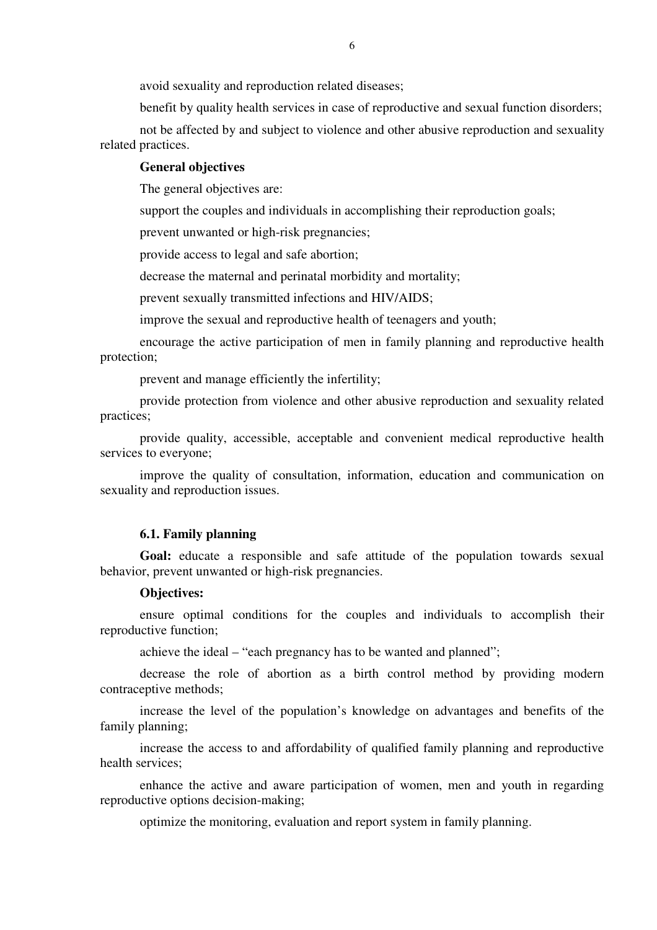avoid sexuality and reproduction related diseases;

benefit by quality health services in case of reproductive and sexual function disorders;

not be affected by and subject to violence and other abusive reproduction and sexuality related practices.

### **General objectives**

The general objectives are:

support the couples and individuals in accomplishing their reproduction goals;

prevent unwanted or high-risk pregnancies;

provide access to legal and safe abortion;

decrease the maternal and perinatal morbidity and mortality;

prevent sexually transmitted infections and HIV/AIDS;

improve the sexual and reproductive health of teenagers and youth;

encourage the active participation of men in family planning and reproductive health protection;

prevent and manage efficiently the infertility;

provide protection from violence and other abusive reproduction and sexuality related practices;

provide quality, accessible, acceptable and convenient medical reproductive health services to everyone;

improve the quality of consultation, information, education and communication on sexuality and reproduction issues.

### **6.1. Family planning**

Goal: educate a responsible and safe attitude of the population towards sexual behavior, prevent unwanted or high-risk pregnancies.

#### **Objectives:**

ensure optimal conditions for the couples and individuals to accomplish their reproductive function;

achieve the ideal – "each pregnancy has to be wanted and planned";

decrease the role of abortion as a birth control method by providing modern contraceptive methods;

increase the level of the population's knowledge on advantages and benefits of the family planning;

increase the access to and affordability of qualified family planning and reproductive health services;

enhance the active and aware participation of women, men and youth in regarding reproductive options decision-making;

optimize the monitoring, evaluation and report system in family planning.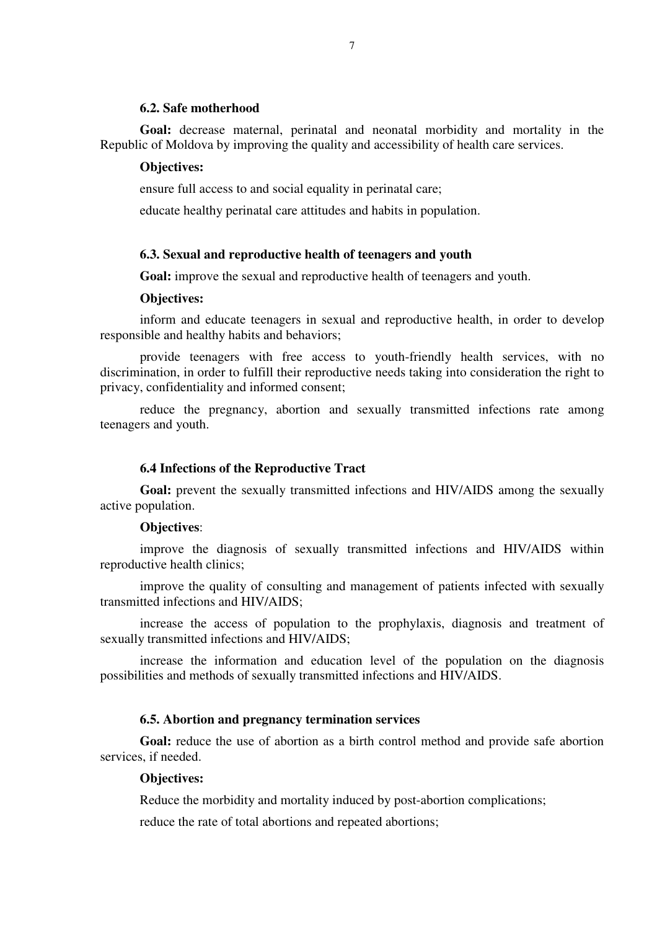### **6.2. Safe motherhood**

**Goal:** decrease maternal, perinatal and neonatal morbidity and mortality in the Republic of Moldova by improving the quality and accessibility of health care services.

### **Objectives:**

ensure full access to and social equality in perinatal care;

educate healthy perinatal care attitudes and habits in population.

#### **6.3. Sexual and reproductive health of teenagers and youth**

**Goal:** improve the sexual and reproductive health of teenagers and youth.

### **Objectives:**

inform and educate teenagers in sexual and reproductive health, in order to develop responsible and healthy habits and behaviors;

provide teenagers with free access to youth-friendly health services, with no discrimination, in order to fulfill their reproductive needs taking into consideration the right to privacy, confidentiality and informed consent;

reduce the pregnancy, abortion and sexually transmitted infections rate among teenagers and youth.

#### **6.4 Infections of the Reproductive Tract**

**Goal:** prevent the sexually transmitted infections and HIV/AIDS among the sexually active population.

#### **Objectives**:

improve the diagnosis of sexually transmitted infections and HIV/AIDS within reproductive health clinics;

improve the quality of consulting and management of patients infected with sexually transmitted infections and HIV/AIDS;

increase the access of population to the prophylaxis, diagnosis and treatment of sexually transmitted infections and HIV/AIDS;

increase the information and education level of the population on the diagnosis possibilities and methods of sexually transmitted infections and HIV/AIDS.

# **6.5. Abortion and pregnancy termination services**

**Goal:** reduce the use of abortion as a birth control method and provide safe abortion services, if needed.

### **Objectives:**

Reduce the morbidity and mortality induced by post-abortion complications;

reduce the rate of total abortions and repeated abortions;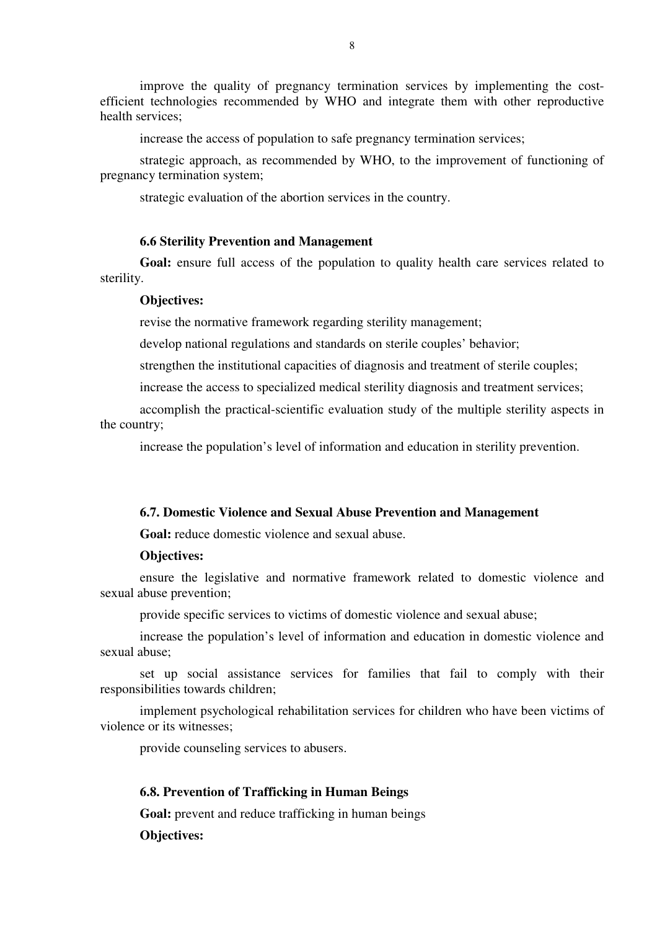improve the quality of pregnancy termination services by implementing the costefficient technologies recommended by WHO and integrate them with other reproductive health services;

increase the access of population to safe pregnancy termination services;

strategic approach, as recommended by WHO, to the improvement of functioning of pregnancy termination system;

strategic evaluation of the abortion services in the country.

#### **6.6 Sterility Prevention and Management**

**Goal:** ensure full access of the population to quality health care services related to sterility.

### **Objectives:**

revise the normative framework regarding sterility management;

develop national regulations and standards on sterile couples' behavior;

strengthen the institutional capacities of diagnosis and treatment of sterile couples;

increase the access to specialized medical sterility diagnosis and treatment services;

accomplish the practical-scientific evaluation study of the multiple sterility aspects in the country;

increase the population's level of information and education in sterility prevention.

### **6.7. Domestic Violence and Sexual Abuse Prevention and Management**

**Goal:** reduce domestic violence and sexual abuse.

#### **Objectives:**

ensure the legislative and normative framework related to domestic violence and sexual abuse prevention;

provide specific services to victims of domestic violence and sexual abuse;

increase the population's level of information and education in domestic violence and sexual abuse;

set up social assistance services for families that fail to comply with their responsibilities towards children;

implement psychological rehabilitation services for children who have been victims of violence or its witnesses;

provide counseling services to abusers.

### **6.8. Prevention of Trafficking in Human Beings**

Goal: prevent and reduce trafficking in human beings

**Objectives:**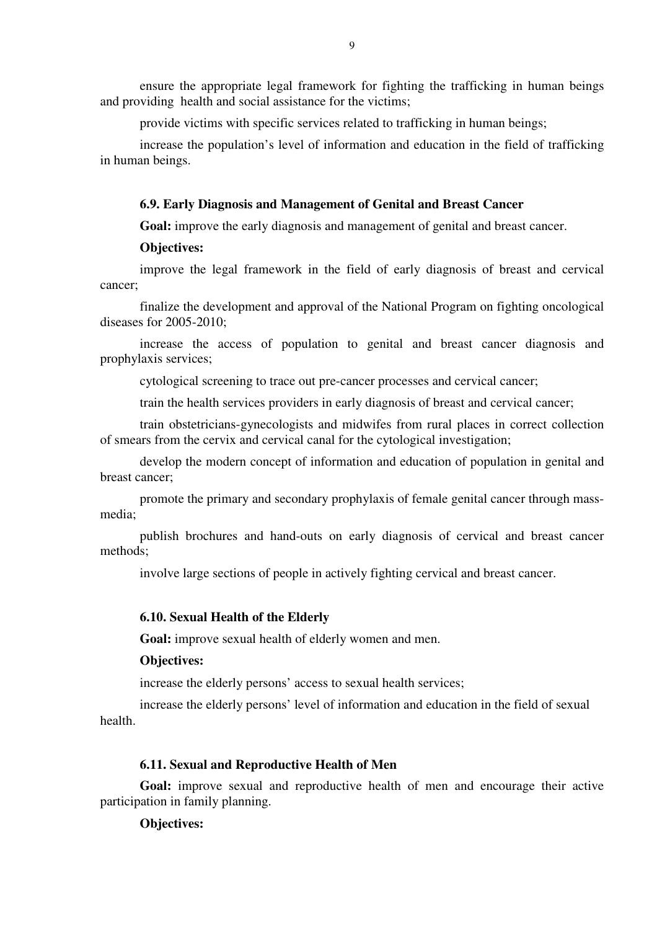ensure the appropriate legal framework for fighting the trafficking in human beings and providing health and social assistance for the victims;

provide victims with specific services related to trafficking in human beings;

increase the population's level of information and education in the field of trafficking in human beings.

#### **6.9. Early Diagnosis and Management of Genital and Breast Cancer**

**Goal:** improve the early diagnosis and management of genital and breast cancer.

### **Objectives:**

improve the legal framework in the field of early diagnosis of breast and cervical cancer;

finalize the development and approval of the National Program on fighting oncological diseases for 2005-2010;

increase the access of population to genital and breast cancer diagnosis and prophylaxis services;

cytological screening to trace out pre-cancer processes and cervical cancer;

train the health services providers in early diagnosis of breast and cervical cancer;

train obstetricians-gynecologists and midwifes from rural places in correct collection of smears from the cervix and cervical canal for the cytological investigation;

develop the modern concept of information and education of population in genital and breast cancer;

promote the primary and secondary prophylaxis of female genital cancer through massmedia;

publish brochures and hand-outs on early diagnosis of cervical and breast cancer methods;

involve large sections of people in actively fighting cervical and breast cancer.

#### **6.10. Sexual Health of the Elderly**

**Goal:** improve sexual health of elderly women and men.

### **Objectives:**

increase the elderly persons' access to sexual health services;

increase the elderly persons' level of information and education in the field of sexual health.

#### **6.11. Sexual and Reproductive Health of Men**

**Goal:** improve sexual and reproductive health of men and encourage their active participation in family planning.

#### **Objectives:**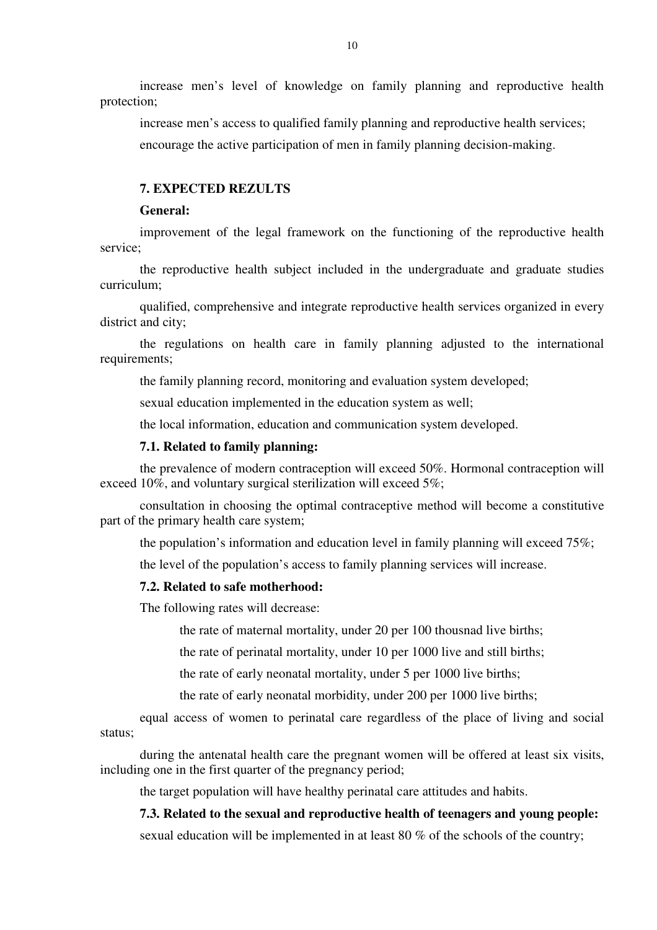increase men's level of knowledge on family planning and reproductive health protection;

increase men's access to qualified family planning and reproductive health services; encourage the active participation of men in family planning decision-making.

# **7. EXPECTED REZULTS**

#### **General:**

improvement of the legal framework on the functioning of the reproductive health service;

the reproductive health subject included in the undergraduate and graduate studies curriculum;

qualified, comprehensive and integrate reproductive health services organized in every district and city;

the regulations on health care in family planning adjusted to the international requirements;

the family planning record, monitoring and evaluation system developed;

sexual education implemented in the education system as well;

the local information, education and communication system developed.

#### **7.1. Related to family planning:**

the prevalence of modern contraception will exceed 50%. Hormonal contraception will exceed 10%, and voluntary surgical sterilization will exceed 5%;

consultation in choosing the optimal contraceptive method will become a constitutive part of the primary health care system;

the population's information and education level in family planning will exceed  $75\%$ ;

the level of the population's access to family planning services will increase.

## **7.2. Related to safe motherhood:**

The following rates will decrease:

the rate of maternal mortality, under 20 per 100 thousnad live births;

the rate of perinatal mortality, under 10 per 1000 live and still births;

the rate of early neonatal mortality, under 5 per 1000 live births;

the rate of early neonatal morbidity, under 200 per 1000 live births;

equal access of women to perinatal care regardless of the place of living and social status;

during the antenatal health care the pregnant women will be offered at least six visits, including one in the first quarter of the pregnancy period;

the target population will have healthy perinatal care attitudes and habits.

#### **7.3. Related to the sexual and reproductive health of teenagers and young people:**

sexual education will be implemented in at least 80 % of the schools of the country;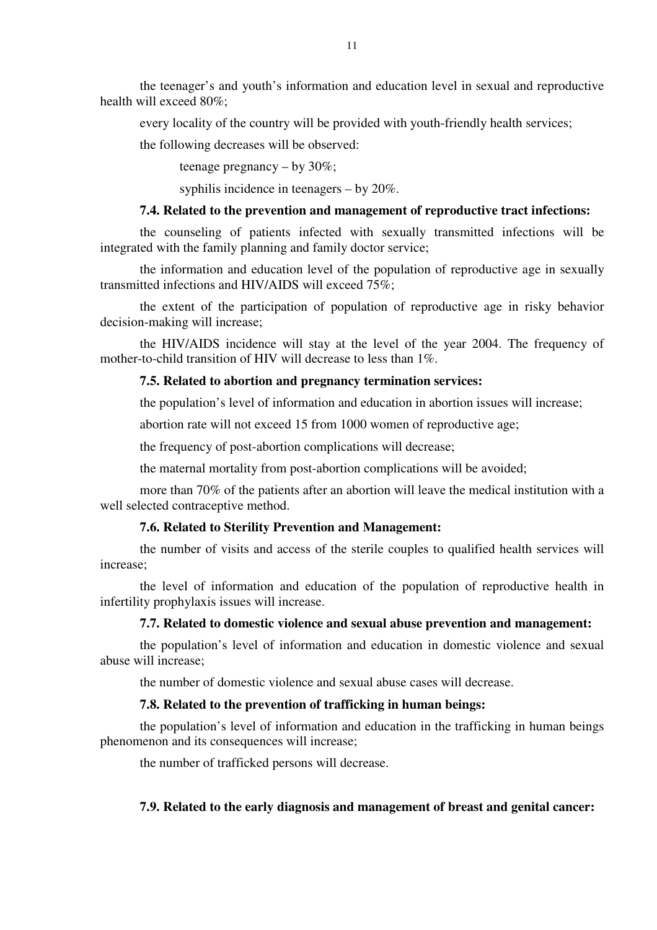the teenager's and youth's information and education level in sexual and reproductive health will exceed 80%;

every locality of the country will be provided with youth-friendly health services;

the following decreases will be observed:

teenage pregnancy – by 30%;

syphilis incidence in teenagers – by 20%.

# **7.4. Related to the prevention and management of reproductive tract infections:**

the counseling of patients infected with sexually transmitted infections will be integrated with the family planning and family doctor service;

the information and education level of the population of reproductive age in sexually transmitted infections and HIV/AIDS will exceed 75%;

the extent of the participation of population of reproductive age in risky behavior decision-making will increase;

the HIV/AIDS incidence will stay at the level of the year 2004. The frequency of mother-to-child transition of HIV will decrease to less than 1%.

### **7.5. Related to abortion and pregnancy termination services:**

the population's level of information and education in abortion issues will increase;

abortion rate will not exceed 15 from 1000 women of reproductive age;

the frequency of post-abortion complications will decrease;

the maternal mortality from post-abortion complications will be avoided;

more than 70% of the patients after an abortion will leave the medical institution with a well selected contraceptive method.

### **7.6. Related to Sterility Prevention and Management:**

the number of visits and access of the sterile couples to qualified health services will increase;

the level of information and education of the population of reproductive health in infertility prophylaxis issues will increase.

### **7.7. Related to domestic violence and sexual abuse prevention and management:**

the population's level of information and education in domestic violence and sexual abuse will increase;

the number of domestic violence and sexual abuse cases will decrease.

### **7.8. Related to the prevention of trafficking in human beings:**

the population's level of information and education in the trafficking in human beings phenomenon and its consequences will increase;

the number of trafficked persons will decrease.

## **7.9. Related to the early diagnosis and management of breast and genital cancer:**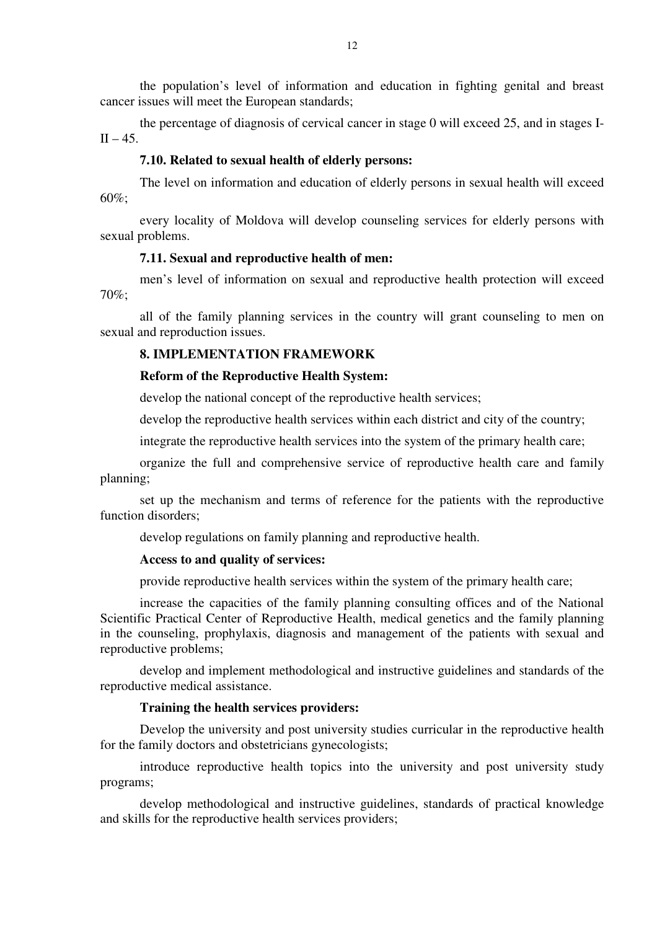the population's level of information and education in fighting genital and breast cancer issues will meet the European standards;

the percentage of diagnosis of cervical cancer in stage 0 will exceed 25, and in stages I- $II - 45.$ 

## **7.10. Related to sexual health of elderly persons:**

The level on information and education of elderly persons in sexual health will exceed 60%;

every locality of Moldova will develop counseling services for elderly persons with sexual problems.

### **7.11. Sexual and reproductive health of men:**

men's level of information on sexual and reproductive health protection will exceed 70%;

all of the family planning services in the country will grant counseling to men on sexual and reproduction issues.

## **8. IMPLEMENTATION FRAMEWORK**

### **Reform of the Reproductive Health System:**

develop the national concept of the reproductive health services;

develop the reproductive health services within each district and city of the country;

integrate the reproductive health services into the system of the primary health care;

organize the full and comprehensive service of reproductive health care and family planning;

set up the mechanism and terms of reference for the patients with the reproductive function disorders;

develop regulations on family planning and reproductive health.

## **Access to and quality of services:**

provide reproductive health services within the system of the primary health care;

increase the capacities of the family planning consulting offices and of the National Scientific Practical Center of Reproductive Health, medical genetics and the family planning in the counseling, prophylaxis, diagnosis and management of the patients with sexual and reproductive problems;

develop and implement methodological and instructive guidelines and standards of the reproductive medical assistance.

# **Training the health services providers:**

Develop the university and post university studies curricular in the reproductive health for the family doctors and obstetricians gynecologists;

introduce reproductive health topics into the university and post university study programs;

develop methodological and instructive guidelines, standards of practical knowledge and skills for the reproductive health services providers;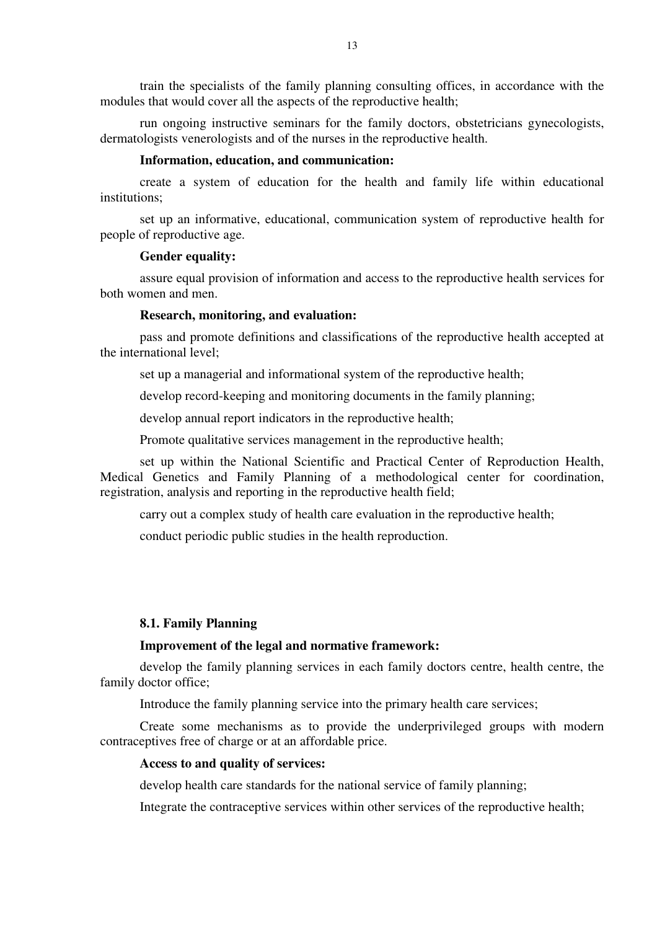train the specialists of the family planning consulting offices, in accordance with the modules that would cover all the aspects of the reproductive health;

run ongoing instructive seminars for the family doctors, obstetricians gynecologists, dermatologists venerologists and of the nurses in the reproductive health.

### **Information, education, and communication:**

create a system of education for the health and family life within educational institutions;

set up an informative, educational, communication system of reproductive health for people of reproductive age.

#### **Gender equality:**

assure equal provision of information and access to the reproductive health services for both women and men.

### **Research, monitoring, and evaluation:**

pass and promote definitions and classifications of the reproductive health accepted at the international level;

set up a managerial and informational system of the reproductive health;

develop record-keeping and monitoring documents in the family planning;

develop annual report indicators in the reproductive health;

Promote qualitative services management in the reproductive health;

set up within the National Scientific and Practical Center of Reproduction Health, Medical Genetics and Family Planning of a methodological center for coordination, registration, analysis and reporting in the reproductive health field;

carry out a complex study of health care evaluation in the reproductive health;

conduct periodic public studies in the health reproduction.

### **8.1. Family Planning**

### **Improvement of the legal and normative framework:**

develop the family planning services in each family doctors centre, health centre, the family doctor office;

Introduce the family planning service into the primary health care services;

Create some mechanisms as to provide the underprivileged groups with modern contraceptives free of charge or at an affordable price.

### **Access to and quality of services:**

develop health care standards for the national service of family planning;

Integrate the contraceptive services within other services of the reproductive health;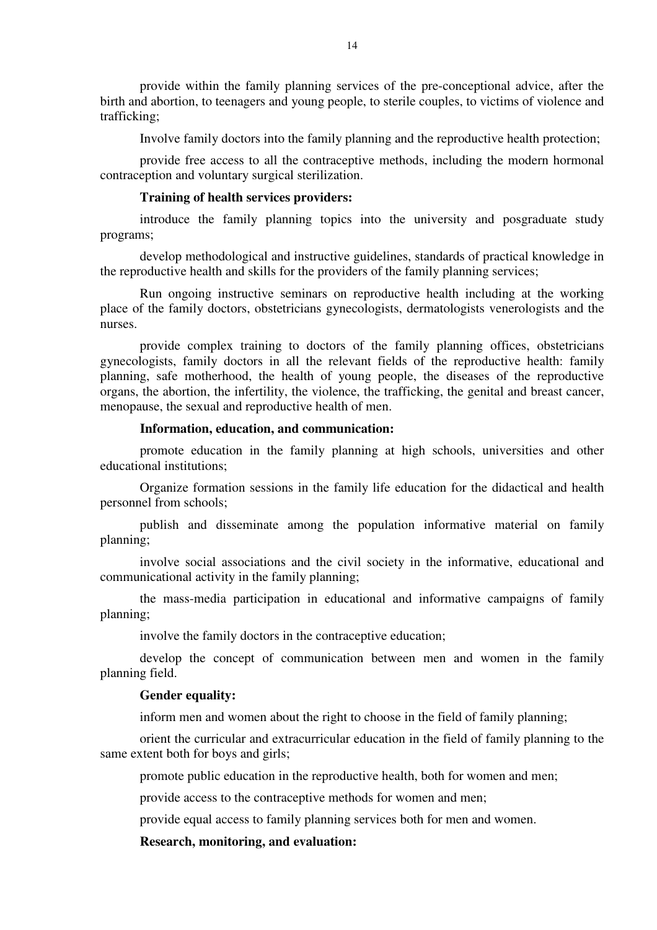provide within the family planning services of the pre-conceptional advice, after the birth and abortion, to teenagers and young people, to sterile couples, to victims of violence and trafficking;

Involve family doctors into the family planning and the reproductive health protection;

provide free access to all the contraceptive methods, including the modern hormonal contraception and voluntary surgical sterilization.

### **Training of health services providers:**

introduce the family planning topics into the university and posgraduate study programs;

develop methodological and instructive guidelines, standards of practical knowledge in the reproductive health and skills for the providers of the family planning services;

Run ongoing instructive seminars on reproductive health including at the working place of the family doctors, obstetricians gynecologists, dermatologists venerologists and the nurses.

provide complex training to doctors of the family planning offices, obstetricians gynecologists, family doctors in all the relevant fields of the reproductive health: family planning, safe motherhood, the health of young people, the diseases of the reproductive organs, the abortion, the infertility, the violence, the trafficking, the genital and breast cancer, menopause, the sexual and reproductive health of men.

# **Information, education, and communication:**

promote education in the family planning at high schools, universities and other educational institutions;

Organize formation sessions in the family life education for the didactical and health personnel from schools;

publish and disseminate among the population informative material on family planning;

involve social associations and the civil society in the informative, educational and communicational activity in the family planning;

the mass-media participation in educational and informative campaigns of family planning;

involve the family doctors in the contraceptive education;

develop the concept of communication between men and women in the family planning field.

## **Gender equality:**

inform men and women about the right to choose in the field of family planning;

orient the curricular and extracurricular education in the field of family planning to the same extent both for boys and girls;

promote public education in the reproductive health, both for women and men;

provide access to the contraceptive methods for women and men;

provide equal access to family planning services both for men and women.

**Research, monitoring, and evaluation:**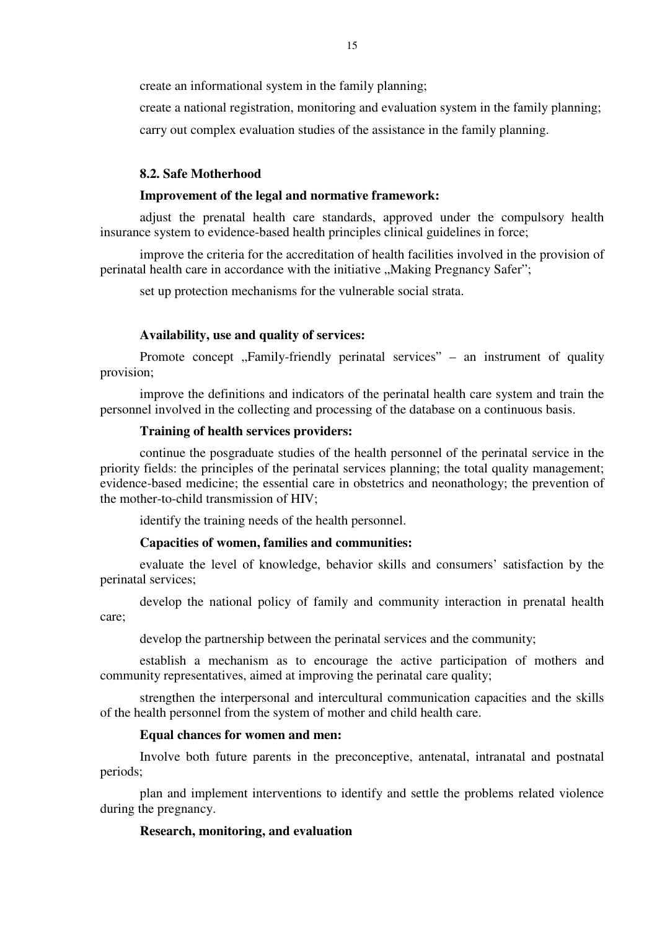create an informational system in the family planning;

create a national registration, monitoring and evaluation system in the family planning; carry out complex evaluation studies of the assistance in the family planning.

## **8.2. Safe Motherhood**

## **Improvement of the legal and normative framework:**

adjust the prenatal health care standards, approved under the compulsory health insurance system to evidence-based health principles clinical guidelines in force;

improve the criteria for the accreditation of health facilities involved in the provision of perinatal health care in accordance with the initiative "Making Pregnancy Safer";

set up protection mechanisms for the vulnerable social strata.

#### **Availability, use and quality of services:**

Promote concept  $\mathcal{F}_r$ -Friendly perinatal services" – an instrument of quality provision;

improve the definitions and indicators of the perinatal health care system and train the personnel involved in the collecting and processing of the database on a continuous basis.

# **Training of health services providers:**

continue the posgraduate studies of the health personnel of the perinatal service in the priority fields: the principles of the perinatal services planning; the total quality management; evidence-based medicine; the essential care in obstetrics and neonathology; the prevention of the mother-to-child transmission of HIV;

identify the training needs of the health personnel.

### **Capacities of women, families and communities:**

evaluate the level of knowledge, behavior skills and consumers' satisfaction by the perinatal services;

develop the national policy of family and community interaction in prenatal health care;

develop the partnership between the perinatal services and the community;

establish a mechanism as to encourage the active participation of mothers and community representatives, aimed at improving the perinatal care quality;

strengthen the interpersonal and intercultural communication capacities and the skills of the health personnel from the system of mother and child health care.

# **Equal chances for women and men:**

Involve both future parents in the preconceptive, antenatal, intranatal and postnatal periods;

plan and implement interventions to identify and settle the problems related violence during the pregnancy.

### **Research, monitoring, and evaluation**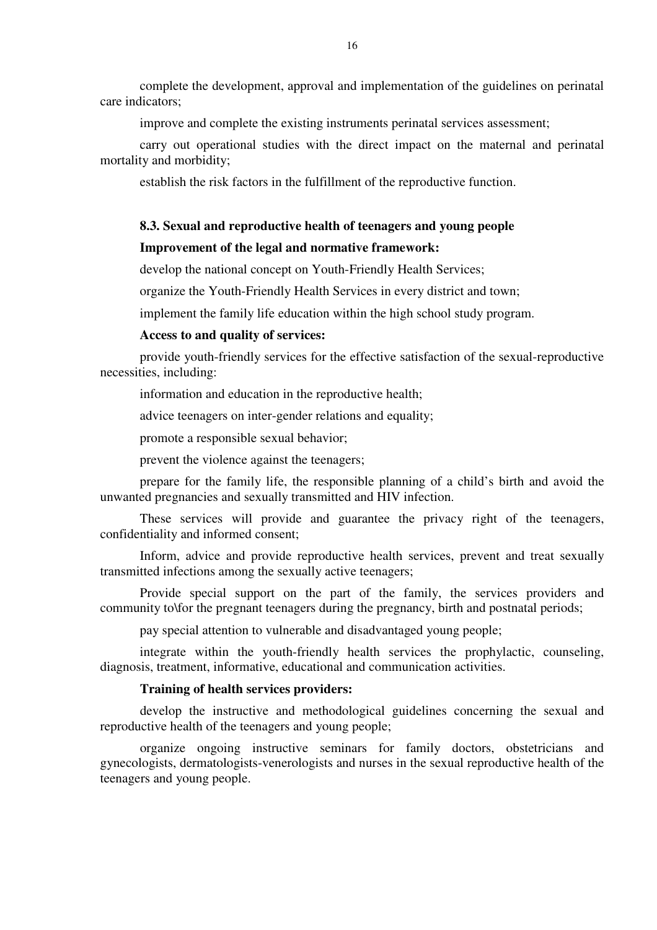complete the development, approval and implementation of the guidelines on perinatal care indicators;

improve and complete the existing instruments perinatal services assessment;

carry out operational studies with the direct impact on the maternal and perinatal mortality and morbidity;

establish the risk factors in the fulfillment of the reproductive function.

## **8.3. Sexual and reproductive health of teenagers and young people**

## **Improvement of the legal and normative framework:**

develop the national concept on Youth-Friendly Health Services;

organize the Youth-Friendly Health Services in every district and town;

implement the family life education within the high school study program.

### **Access to and quality of services:**

provide youth-friendly services for the effective satisfaction of the sexual-reproductive necessities, including:

information and education in the reproductive health;

advice teenagers on inter-gender relations and equality;

promote a responsible sexual behavior;

prevent the violence against the teenagers;

prepare for the family life, the responsible planning of a child's birth and avoid the unwanted pregnancies and sexually transmitted and HIV infection.

These services will provide and guarantee the privacy right of the teenagers, confidentiality and informed consent;

Inform, advice and provide reproductive health services, prevent and treat sexually transmitted infections among the sexually active teenagers;

Provide special support on the part of the family, the services providers and community to\for the pregnant teenagers during the pregnancy, birth and postnatal periods;

pay special attention to vulnerable and disadvantaged young people;

integrate within the youth-friendly health services the prophylactic, counseling, diagnosis, treatment, informative, educational and communication activities.

#### **Training of health services providers:**

develop the instructive and methodological guidelines concerning the sexual and reproductive health of the teenagers and young people;

organize ongoing instructive seminars for family doctors, obstetricians and gynecologists, dermatologists-venerologists and nurses in the sexual reproductive health of the teenagers and young people.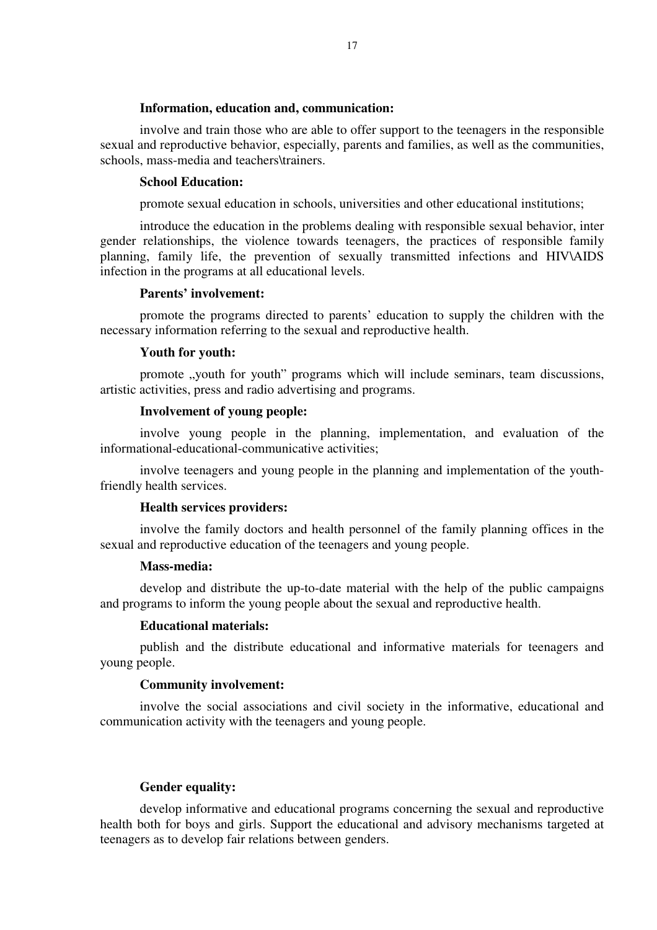#### **Information, education and, communication:**

involve and train those who are able to offer support to the teenagers in the responsible sexual and reproductive behavior, especially, parents and families, as well as the communities, schools, mass-media and teachers\trainers.

### **School Education:**

promote sexual education in schools, universities and other educational institutions;

introduce the education in the problems dealing with responsible sexual behavior, inter gender relationships, the violence towards teenagers, the practices of responsible family planning, family life, the prevention of sexually transmitted infections and HIV\AIDS infection in the programs at all educational levels.

#### **Parents' involvement:**

promote the programs directed to parents' education to supply the children with the necessary information referring to the sexual and reproductive health.

#### **Youth for youth:**

promote , youth for youth" programs which will include seminars, team discussions, artistic activities, press and radio advertising and programs.

### **Involvement of young people:**

involve young people in the planning, implementation, and evaluation of the informational-educational-communicative activities;

involve teenagers and young people in the planning and implementation of the youthfriendly health services.

### **Health services providers:**

involve the family doctors and health personnel of the family planning offices in the sexual and reproductive education of the teenagers and young people.

#### **Mass-media:**

develop and distribute the up-to-date material with the help of the public campaigns and programs to inform the young people about the sexual and reproductive health.

### **Educational materials:**

publish and the distribute educational and informative materials for teenagers and young people.

### **Community involvement:**

involve the social associations and civil society in the informative, educational and communication activity with the teenagers and young people.

#### **Gender equality:**

develop informative and educational programs concerning the sexual and reproductive health both for boys and girls. Support the educational and advisory mechanisms targeted at teenagers as to develop fair relations between genders.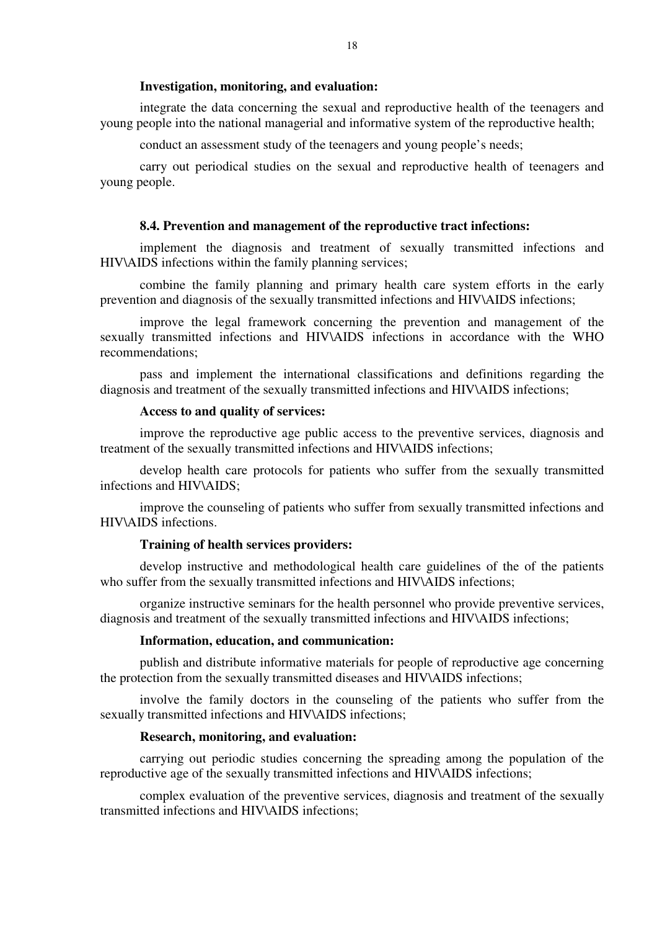### **Investigation, monitoring, and evaluation:**

integrate the data concerning the sexual and reproductive health of the teenagers and young people into the national managerial and informative system of the reproductive health;

conduct an assessment study of the teenagers and young people's needs;

carry out periodical studies on the sexual and reproductive health of teenagers and young people.

#### **8.4. Prevention and management of the reproductive tract infections:**

implement the diagnosis and treatment of sexually transmitted infections and HIV\AIDS infections within the family planning services;

combine the family planning and primary health care system efforts in the early prevention and diagnosis of the sexually transmitted infections and HIV\AIDS infections;

improve the legal framework concerning the prevention and management of the sexually transmitted infections and HIV\AIDS infections in accordance with the WHO recommendations;

pass and implement the international classifications and definitions regarding the diagnosis and treatment of the sexually transmitted infections and HIV\AIDS infections;

#### **Access to and quality of services:**

improve the reproductive age public access to the preventive services, diagnosis and treatment of the sexually transmitted infections and HIV\AIDS infections;

develop health care protocols for patients who suffer from the sexually transmitted infections and HIV\AIDS;

improve the counseling of patients who suffer from sexually transmitted infections and HIV\AIDS infections.

#### **Training of health services providers:**

develop instructive and methodological health care guidelines of the of the patients who suffer from the sexually transmitted infections and HIV\AIDS infections;

organize instructive seminars for the health personnel who provide preventive services, diagnosis and treatment of the sexually transmitted infections and HIV\AIDS infections;

#### **Information, education, and communication:**

publish and distribute informative materials for people of reproductive age concerning the protection from the sexually transmitted diseases and HIV\AIDS infections;

involve the family doctors in the counseling of the patients who suffer from the sexually transmitted infections and HIV\AIDS infections;

# **Research, monitoring, and evaluation:**

carrying out periodic studies concerning the spreading among the population of the reproductive age of the sexually transmitted infections and HIV\AIDS infections;

complex evaluation of the preventive services, diagnosis and treatment of the sexually transmitted infections and HIV\AIDS infections;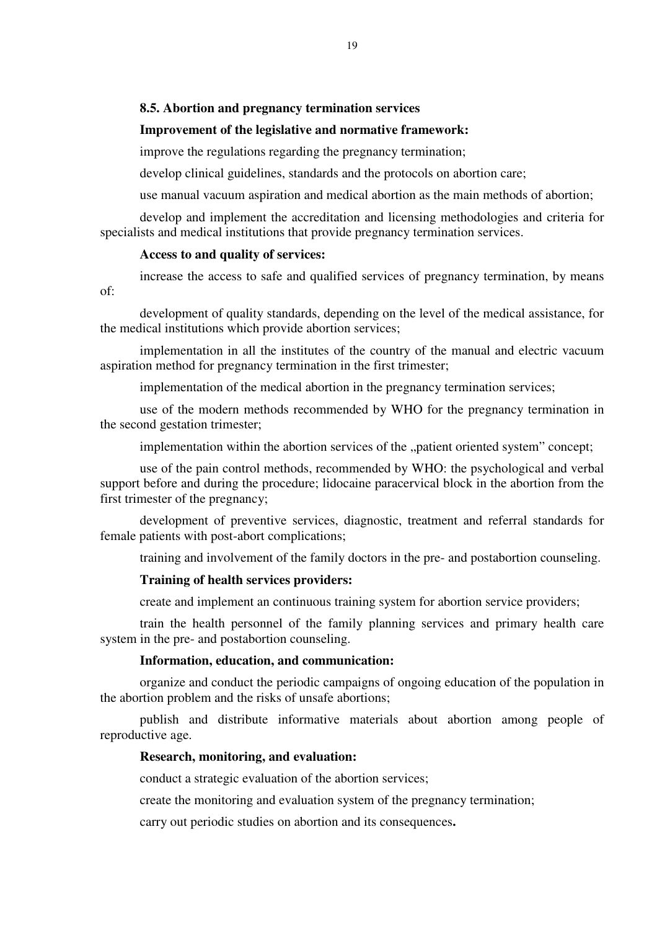# **8.5. Abortion and pregnancy termination services**

#### **Improvement of the legislative and normative framework:**

improve the regulations regarding the pregnancy termination;

develop clinical guidelines, standards and the protocols on abortion care;

use manual vacuum aspiration and medical abortion as the main methods of abortion;

develop and implement the accreditation and licensing methodologies and criteria for specialists and medical institutions that provide pregnancy termination services.

### **Access to and quality of services:**

increase the access to safe and qualified services of pregnancy termination, by means of:

development of quality standards, depending on the level of the medical assistance, for the medical institutions which provide abortion services;

implementation in all the institutes of the country of the manual and electric vacuum aspiration method for pregnancy termination in the first trimester;

implementation of the medical abortion in the pregnancy termination services;

use of the modern methods recommended by WHO for the pregnancy termination in the second gestation trimester;

implementation within the abortion services of the "patient oriented system" concept;

use of the pain control methods, recommended by WHO: the psychological and verbal support before and during the procedure; lidocaine paracervical block in the abortion from the first trimester of the pregnancy;

development of preventive services, diagnostic, treatment and referral standards for female patients with post-abort complications;

training and involvement of the family doctors in the pre- and postabortion counseling.

### **Training of health services providers:**

create and implement an continuous training system for abortion service providers;

train the health personnel of the family planning services and primary health care system in the pre- and postabortion counseling.

### **Information, education, and communication:**

organize and conduct the periodic campaigns of ongoing education of the population in the abortion problem and the risks of unsafe abortions;

publish and distribute informative materials about abortion among people of reproductive age.

### **Research, monitoring, and evaluation:**

conduct a strategic evaluation of the abortion services;

create the monitoring and evaluation system of the pregnancy termination;

carry out periodic studies on abortion and its consequences**.**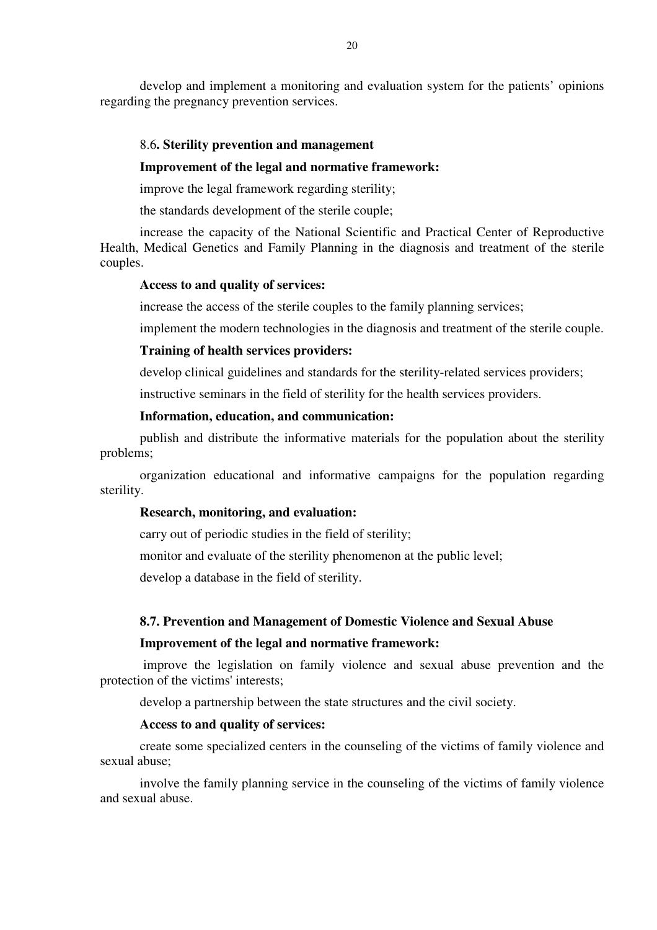develop and implement a monitoring and evaluation system for the patients' opinions regarding the pregnancy prevention services.

### 8.6**. Sterility prevention and management**

#### **Improvement of the legal and normative framework:**

improve the legal framework regarding sterility;

the standards development of the sterile couple;

increase the capacity of the National Scientific and Practical Center of Reproductive Health, Medical Genetics and Family Planning in the diagnosis and treatment of the sterile couples.

### **Access to and quality of services:**

increase the access of the sterile couples to the family planning services;

implement the modern technologies in the diagnosis and treatment of the sterile couple.

### **Training of health services providers:**

develop clinical guidelines and standards for the sterility-related services providers;

instructive seminars in the field of sterility for the health services providers.

# **Information, education, and communication:**

publish and distribute the informative materials for the population about the sterility problems;

organization educational and informative campaigns for the population regarding sterility.

### **Research, monitoring, and evaluation:**

carry out of periodic studies in the field of sterility;

monitor and evaluate of the sterility phenomenon at the public level;

develop a database in the field of sterility.

### **8.7. Prevention and Management of Domestic Violence and Sexual Abuse**

#### **Improvement of the legal and normative framework:**

 improve the legislation on family violence and sexual abuse prevention and the protection of the victims' interests;

develop a partnership between the state structures and the civil society.

### **Access to and quality of services:**

create some specialized centers in the counseling of the victims of family violence and sexual abuse;

involve the family planning service in the counseling of the victims of family violence and sexual abuse.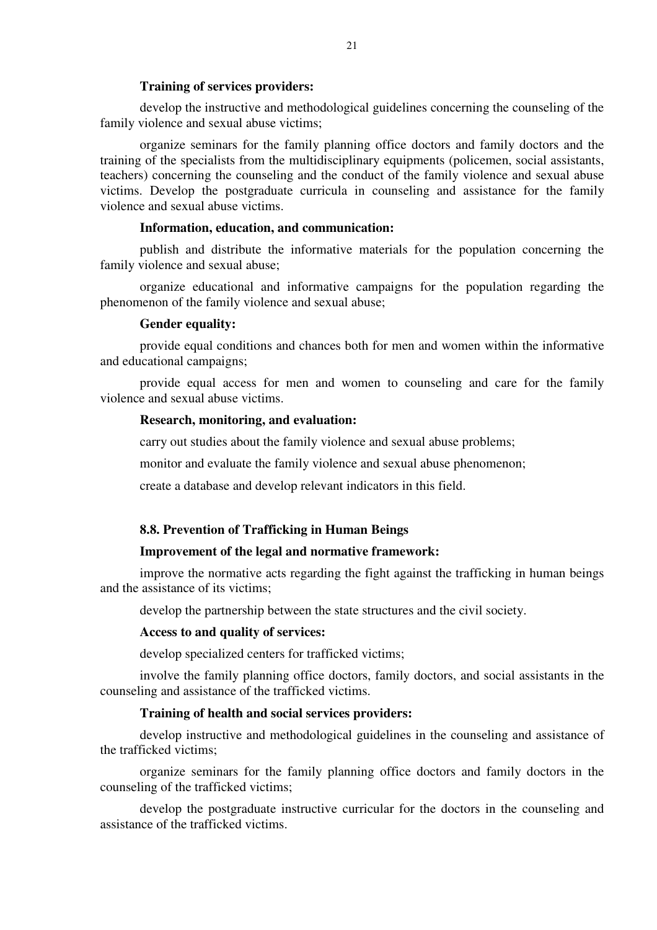#### **Training of services providers:**

develop the instructive and methodological guidelines concerning the counseling of the family violence and sexual abuse victims;

organize seminars for the family planning office doctors and family doctors and the training of the specialists from the multidisciplinary equipments (policemen, social assistants, teachers) concerning the counseling and the conduct of the family violence and sexual abuse victims. Develop the postgraduate curricula in counseling and assistance for the family violence and sexual abuse victims.

#### **Information, education, and communication:**

publish and distribute the informative materials for the population concerning the family violence and sexual abuse;

organize educational and informative campaigns for the population regarding the phenomenon of the family violence and sexual abuse;

#### **Gender equality:**

provide equal conditions and chances both for men and women within the informative and educational campaigns;

provide equal access for men and women to counseling and care for the family violence and sexual abuse victims.

### **Research, monitoring, and evaluation:**

carry out studies about the family violence and sexual abuse problems;

monitor and evaluate the family violence and sexual abuse phenomenon;

create a database and develop relevant indicators in this field.

### **8.8. Prevention of Trafficking in Human Beings**

# **Improvement of the legal and normative framework:**

improve the normative acts regarding the fight against the trafficking in human beings and the assistance of its victims;

develop the partnership between the state structures and the civil society.

#### **Access to and quality of services:**

develop specialized centers for trafficked victims;

involve the family planning office doctors, family doctors, and social assistants in the counseling and assistance of the trafficked victims.

#### **Training of health and social services providers:**

develop instructive and methodological guidelines in the counseling and assistance of the trafficked victims;

organize seminars for the family planning office doctors and family doctors in the counseling of the trafficked victims;

develop the postgraduate instructive curricular for the doctors in the counseling and assistance of the trafficked victims.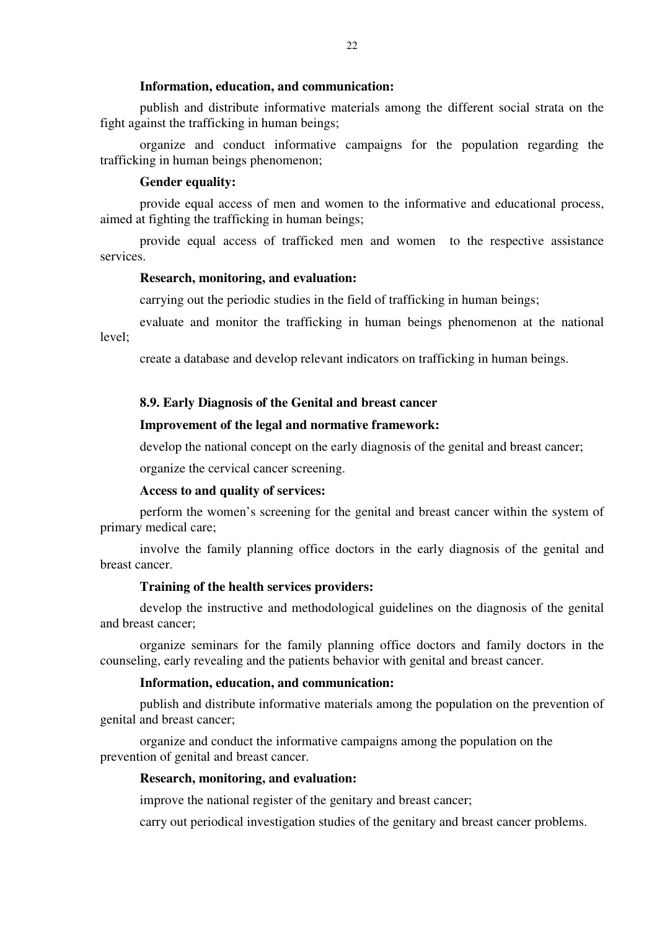#### **Information, education, and communication:**

publish and distribute informative materials among the different social strata on the fight against the trafficking in human beings;

organize and conduct informative campaigns for the population regarding the trafficking in human beings phenomenon;

### **Gender equality:**

provide equal access of men and women to the informative and educational process, aimed at fighting the trafficking in human beings;

provide equal access of trafficked men and women to the respective assistance services.

### **Research, monitoring, and evaluation:**

carrying out the periodic studies in the field of trafficking in human beings;

evaluate and monitor the trafficking in human beings phenomenon at the national level;

create a database and develop relevant indicators on trafficking in human beings.

#### **8.9. Early Diagnosis of the Genital and breast cancer**

#### **Improvement of the legal and normative framework:**

develop the national concept on the early diagnosis of the genital and breast cancer;

organize the cervical cancer screening.

### **Access to and quality of services:**

perform the women's screening for the genital and breast cancer within the system of primary medical care;

involve the family planning office doctors in the early diagnosis of the genital and breast cancer.

## **Training of the health services providers:**

 develop the instructive and methodological guidelines on the diagnosis of the genital and breast cancer;

organize seminars for the family planning office doctors and family doctors in the counseling, early revealing and the patients behavior with genital and breast cancer.

# **Information, education, and communication:**

publish and distribute informative materials among the population on the prevention of genital and breast cancer;

organize and conduct the informative campaigns among the population on the prevention of genital and breast cancer.

### **Research, monitoring, and evaluation:**

improve the national register of the genitary and breast cancer;

carry out periodical investigation studies of the genitary and breast cancer problems.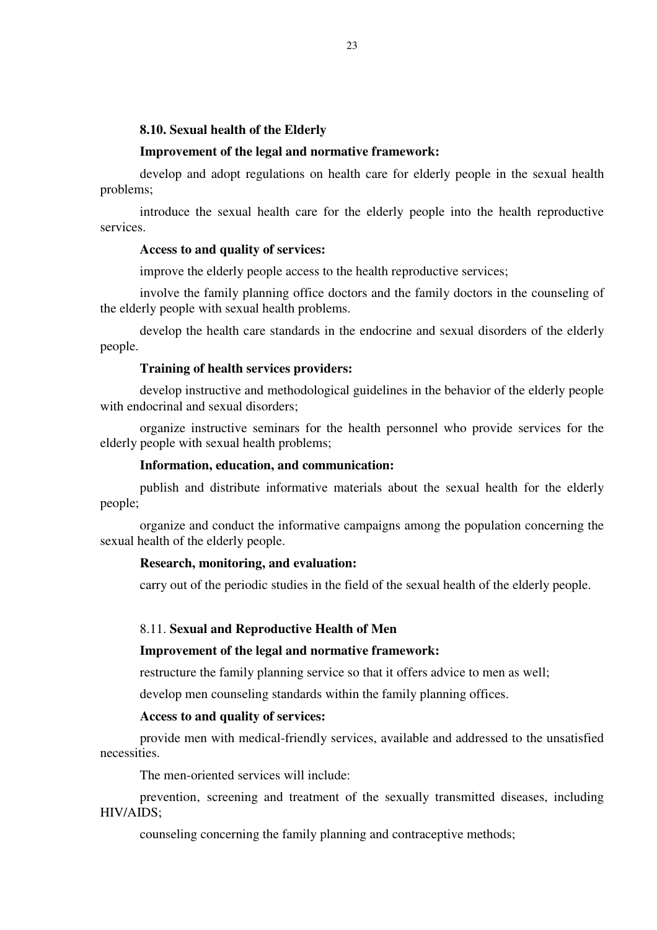### **8.10. Sexual health of the Elderly**

### **Improvement of the legal and normative framework:**

develop and adopt regulations on health care for elderly people in the sexual health problems;

introduce the sexual health care for the elderly people into the health reproductive services.

### **Access to and quality of services:**

improve the elderly people access to the health reproductive services;

involve the family planning office doctors and the family doctors in the counseling of the elderly people with sexual health problems.

develop the health care standards in the endocrine and sexual disorders of the elderly people.

### **Training of health services providers:**

develop instructive and methodological guidelines in the behavior of the elderly people with endocrinal and sexual disorders;

organize instructive seminars for the health personnel who provide services for the elderly people with sexual health problems;

### **Information, education, and communication:**

publish and distribute informative materials about the sexual health for the elderly people;

organize and conduct the informative campaigns among the population concerning the sexual health of the elderly people.

### **Research, monitoring, and evaluation:**

carry out of the periodic studies in the field of the sexual health of the elderly people.

#### 8.11. **Sexual and Reproductive Health of Men**

#### **Improvement of the legal and normative framework:**

restructure the family planning service so that it offers advice to men as well;

develop men counseling standards within the family planning offices.

#### **Access to and quality of services:**

provide men with medical-friendly services, available and addressed to the unsatisfied necessities.

The men-oriented services will include:

prevention, screening and treatment of the sexually transmitted diseases, including HIV/AIDS;

counseling concerning the family planning and contraceptive methods;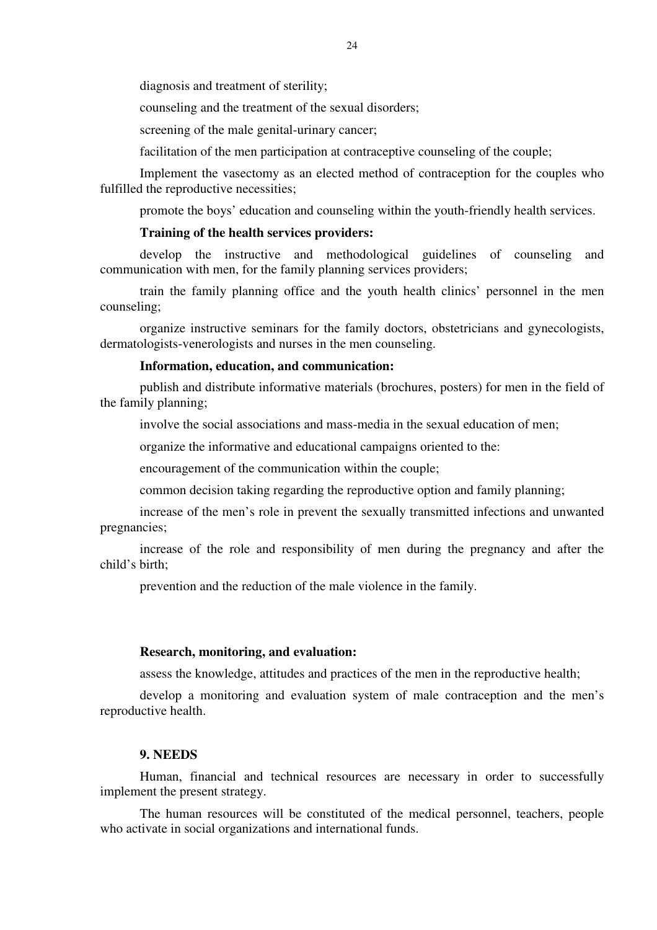diagnosis and treatment of sterility;

counseling and the treatment of the sexual disorders;

screening of the male genital-urinary cancer;

facilitation of the men participation at contraceptive counseling of the couple;

Implement the vasectomy as an elected method of contraception for the couples who fulfilled the reproductive necessities;

promote the boys' education and counseling within the youth-friendly health services.

### **Training of the health services providers:**

develop the instructive and methodological guidelines of counseling and communication with men, for the family planning services providers;

train the family planning office and the youth health clinics' personnel in the men counseling;

organize instructive seminars for the family doctors, obstetricians and gynecologists, dermatologists-venerologists and nurses in the men counseling.

# **Information, education, and communication:**

publish and distribute informative materials (brochures, posters) for men in the field of the family planning;

involve the social associations and mass-media in the sexual education of men;

organize the informative and educational campaigns oriented to the:

encouragement of the communication within the couple;

common decision taking regarding the reproductive option and family planning;

increase of the men's role in prevent the sexually transmitted infections and unwanted pregnancies;

increase of the role and responsibility of men during the pregnancy and after the child's birth;

prevention and the reduction of the male violence in the family.

### **Research, monitoring, and evaluation:**

assess the knowledge, attitudes and practices of the men in the reproductive health;

develop a monitoring and evaluation system of male contraception and the men's reproductive health.

# **9. NEEDS**

Human, financial and technical resources are necessary in order to successfully implement the present strategy.

The human resources will be constituted of the medical personnel, teachers, people who activate in social organizations and international funds.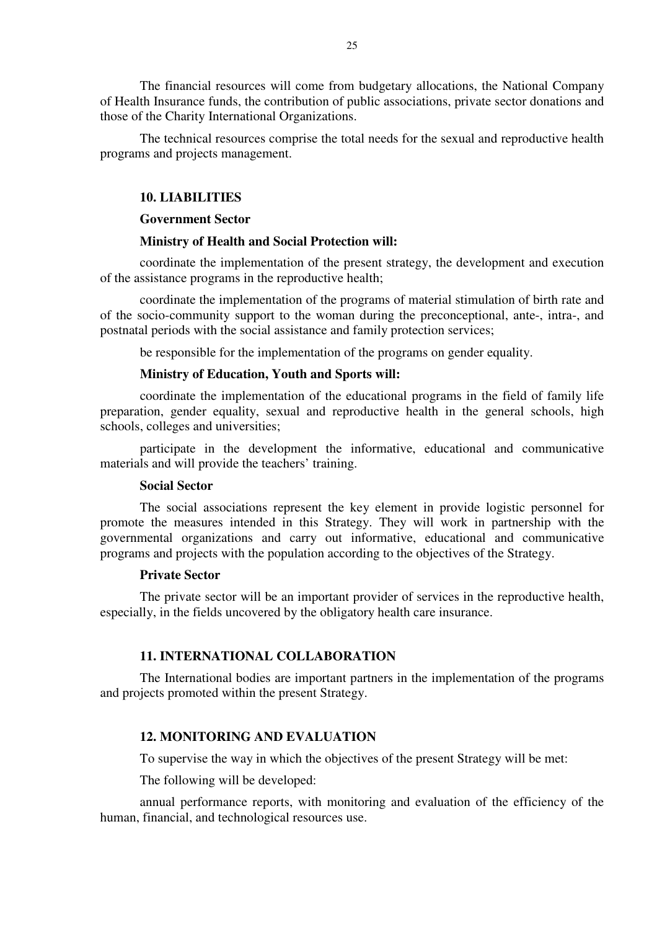The financial resources will come from budgetary allocations, the National Company of Health Insurance funds, the contribution of public associations, private sector donations and those of the Charity International Organizations.

The technical resources comprise the total needs for the sexual and reproductive health programs and projects management.

# **10. LIABILITIES**

### **Government Sector**

#### **Ministry of Health and Social Protection will:**

coordinate the implementation of the present strategy, the development and execution of the assistance programs in the reproductive health;

coordinate the implementation of the programs of material stimulation of birth rate and of the socio-community support to the woman during the preconceptional, ante-, intra-, and postnatal periods with the social assistance and family protection services;

be responsible for the implementation of the programs on gender equality.

#### **Ministry of Education, Youth and Sports will:**

coordinate the implementation of the educational programs in the field of family life preparation, gender equality, sexual and reproductive health in the general schools, high schools, colleges and universities;

participate in the development the informative, educational and communicative materials and will provide the teachers' training.

### **Social Sector**

The social associations represent the key element in provide logistic personnel for promote the measures intended in this Strategy. They will work in partnership with the governmental organizations and carry out informative, educational and communicative programs and projects with the population according to the objectives of the Strategy.

# **Private Sector**

The private sector will be an important provider of services in the reproductive health, especially, in the fields uncovered by the obligatory health care insurance.

## **11. INTERNATIONAL COLLABORATION**

The International bodies are important partners in the implementation of the programs and projects promoted within the present Strategy.

# **12. MONITORING AND EVALUATION**

To supervise the way in which the objectives of the present Strategy will be met:

The following will be developed:

annual performance reports, with monitoring and evaluation of the efficiency of the human, financial, and technological resources use.